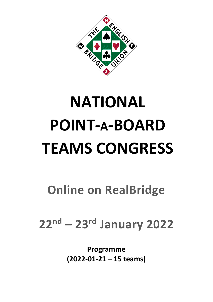

# **NATIONAL POINT-A-BOARD TEAMS CONGRESS**

**Online on RealBridge**

**22 nd – 23 rd January 2022**

**Programme (2022-01-21 – 15 teams)**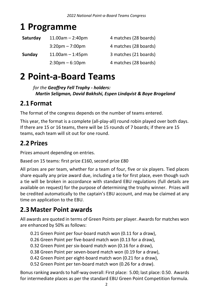### **1 Programme**

| Saturday | $11.00$ am $- 2:40$ pm            | 4 matches (28 boards) |
|----------|-----------------------------------|-----------------------|
|          | $3:20 \text{pm} - 7:00 \text{pm}$ | 4 matches (28 boards) |
| Sunday   | $11.00$ am $-1:45$ pm             | 3 matches (21 boards) |
|          | $2:30$ pm $-6:10$ pm              | 4 matches (28 boards) |

### **2 Point-a-Board Teams**

*for the Geoffrey Fell Trophy - holders: Martin Seligman, David Bakhshi, Espen Lindqvist & Boye Brogeland*

### **2.1 Format**

The format of the congress depends on the number of teams entered.

This year, the format is a complete (all-play-all) round robin played over both days. If there are 15 or 16 teams, there will be 15 rounds of 7 boards; if there are 15 teams, each team will sit out for one round.

### **2.2 Prizes**

Prizes amount depending on entries.

Based on 15 teams: first prize £160, second prize £80

All prizes are per team, whether for a team of four, five or six players. Tied places share equally any prize award due, including a tie for first place, even though such a tie will be broken in accordance with standard EBU regulations (full details are available on request) for the purpose of determining the trophy winner. Prizes will be credited automatically to the captain's EBU account, and may be claimed at any time on application to the EBU.

### **2.3Master Point awards**

All awards are quoted in terms of Green Points per player. Awards for matches won are enhanced by 50% as follows:

- 0.21 Green Point per four-board match won (0.11 for a draw),
- 0.26 Green Point per five-board match won (0.13 for a draw),
- 0.32 Green Point per six-board match won (0.16 for a draw),
- 0.38 Green Point per seven-board match won (0.19 for a draw),
- 0.42 Green Point per eight-board match won (0.21 for a draw),
- 0.52 Green Point per ten-board match won (0.26 for a draw).

Bonus ranking awards to half-way overall: First place: 5.00; last place: 0.50. Awards for intermediate places as per the standard EBU Green Point Competition formula.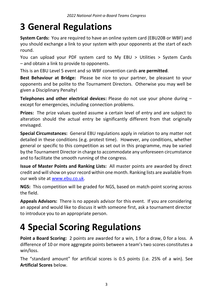### **3 General Regulations**

**System Cards:** You are required to have an online system card (EBU20B or WBF) and you should exchange a link to your system with your opponents at the start of each round.

You can upload your PDF system card to My EBU > Utilities > System Cards – and obtain a link to provide to opponents.

This is an EBU Level 5 event and so WBF convention cards **are permitted**.

**Best Behaviour at Bridge:** Please be nice to your partner, be pleasant to your opponents and be polite to the Tournament Directors. Otherwise you may well be given a Disciplinary Penalty!

**Telephones and other electrical devices:** Please do not use your phone during – except for emergencies, including connection problems.

**Prizes:** The prize values quoted assume a certain level of entry and are subject to alteration should the actual entry be significantly different from that originally envisaged.

**Special Circumstances:** General EBU regulations apply in relation to any matter not detailed in these conditions (e.g. protest time). However, any conditions, whether general or specific to this competition as set out in this programme, may be varied by the Tournament Director in charge to accommodate any unforeseen circumstance and to facilitate the smooth running of the congress.

**Issue of Master Points and Ranking Lists:** All master points are awarded by direct credit and will show on your record within one month. Ranking lists are available from our web site at [www.ebu.co.uk.](http://www.ebu.co.uk/)

**NGS:** This competition will be graded for NGS, based on match-point scoring across the field.

**Appeals Advisors:** There is no appeals advisor for this event. If you are considering an appeal and would like to discuss it with someone first, ask a tournament director to introduce you to an appropriate person.

# **4 Special Scoring Regulations**

Point a Board Scoring: 2 points are awarded for a win, 1 for a draw, 0 for a loss. A difference of 10 or more aggregate points between a team's two scores constitutes a win/loss.

The "standard amount" for artificial scores is 0.5 points (i.e. 25% of a win). See **Artificial Scores** below.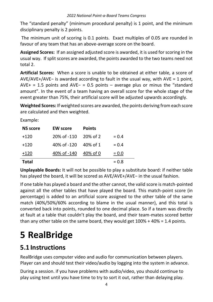The "standard penalty" (minimum procedural penalty) is 1 point, and the minimum disciplinary penalty is 2 points.

The minimum unit of scoring is 0.1 points. Exact multiples of 0.05 are rounded in favour of any team that has an above-average score on the board.

**Assigned Scores:** If an assigned adjusted score is awarded, it is used for scoring in the usual way. If split scores are awarded, the points awarded to the two teams need not total 2.

**Artificial Scores:** When a score is unable to be obtained at either table, a score of AVE/AVE+/AVE− is awarded according to fault in the usual way, with AVE = 1 point, AVE+ = 1.5 points and AVE− = 0.5 points – average plus or minus the "standard amount". In the event of a team having an overall score for the whole stage of the event greater than 75%, their artificial score will be adjusted upwards accordingly.

**Weighted Scores:** If weighted scores are awarded, the points deriving from each score are calculated and then weighted.

Example:

| <b>NS score</b> | <b>EW score</b> | <b>Points</b>        |         |
|-----------------|-----------------|----------------------|---------|
| $+120$          | 20% of -110     | $20\% \text{ of } 2$ | $= 0.4$ |
| $+120$          | 40% of -120     | 40% of 1             | $= 0.4$ |
| $+120$          | 40% of -140     | 40% of 0             | $= 0.0$ |
| <b>Total</b>    |                 |                      | $= 0.8$ |

**Unplayable Boards:** It will not be possible to play a substitute board: if neither table has played the board, it will be scored as AVE/AVE+/AVE− in the usual fashion.

If one table has played a board and the other cannot, the valid score is match-pointed against all the other tables that have played the board. This match-point score (in percentage) is added to an artificial score assigned to the other table of the same match (40%/50%/60% according to blame in the usual manner), and this total is converted back into points, rounded to one decimal place. So if a team was directly at fault at a table that couldn't play the board, and their team-mates scored better than any other table on the same board, they would get 100% + 40% = 1.4 points.

# **5 RealBridge**

### **5.1 Instructions**

RealBridge uses computer video and audio for communication between players. Player can and should test their video/audio by logging into the system in advance.

During a session. if you have problems with audio/video, you should continue to play using text until you have time to try to sort it out, rather than delaying play.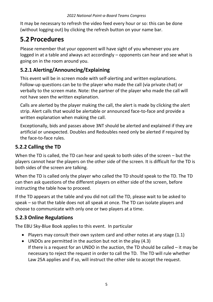It may be necessary to refresh the video feed every hour or so: this can be done (without logging out) by clicking the refresh button on your name bar.

### **5.2 Procedures**

Please remember that your opponent will have sight of you whenever you are logged in at a table and always act accordingly – opponents can hear and see what is going on in the room around you.

#### **5.2.1 Alerting/Announcing/Explaining**

This event will be in screen mode with self-alerting and written explanations. Follow-up questions can be to the player who made the call (via private chat) or verbally to the screen mate. Note: the partner of the player who made the call will not have seen the written explanation.

Calls are alerted by the player making the call, the alert is made by clicking the alert strip. Alert calls that would be alertable or announced face-to-face and provide a written explanation when making the call.

Exceptionally, bids and passes above 3NT should be alerted and explained if they are artificial or unexpected. Doubles and Redoubles need only be alerted if required by the face-to-face rules.

#### **5.2.2 Calling the TD**

When the TD is called, the TD can hear and speak to both sides of the screen – but the players cannot hear the players on the other side of the screen. It is difficult for the TD is both sides of the screen are talking.

When the TD is called only the player who called the TD should speak to the TD. The TD can then ask questions of the different players on either side of the screen, before instructing the table how to proceed.

If the TD appears at the table and you did not call the TD, please wait to be asked to speak – so that the table does not all speak at once. The TD can isolate players and choose to communicate with only one or two players at a time.

#### **5.2.3 Online Regulations**

The [EBU Sky-Blue Book](https://www.ebu.co.uk/documents/laws-and-ethics/skyblue-book.pdf) applies to this event. In particular

- Players may consult their own system card and other notes at any stage (1.1)
- UNDOs are permitted in the auction but not in the play (4.3) If there is a request for an UNDO in the auction, the TD should be called – it may be necessary to reject the request in order to call the TD. The TD will rule whether Law 25A applies and if so, will instruct the other side to accept the request.